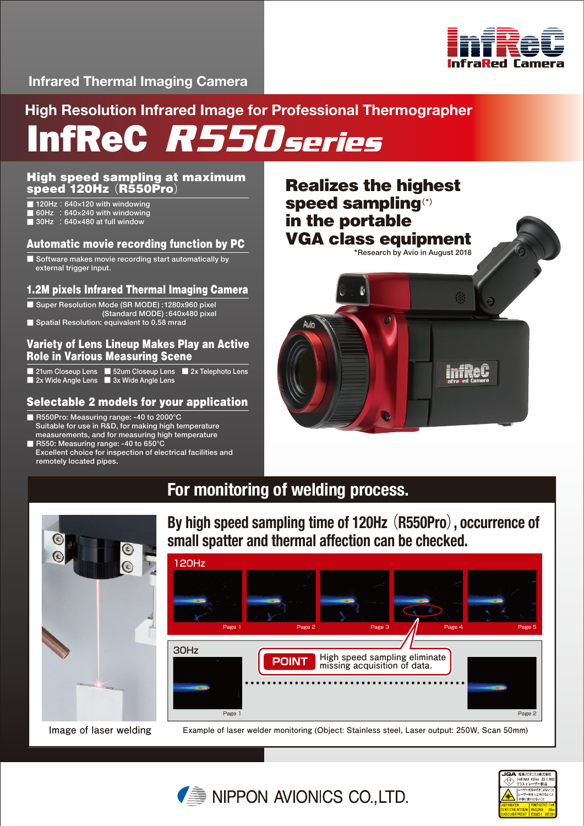

# **Infrared Thermal Imaging Camera**

**High Resolution Infrared Image for Professional Thermographer**

InfReC *R550series*

# High speed sampling at maximum speed 120Hz (R550Pro)

- 120Hz: 640×120 with windowing
- $\blacksquare$  60Hz  $\thinspace$  : 640×240 with windowing
- $\blacksquare$  30Hz  $\thinspace$  : 640×480 at full window

# Automatic movie recording function by PC

■ Software makes movie recording start automatically by external trigger input.

## 1.2M pixels Infrared Thermal Imaging Camera

- Super Resolution Mode (SR MODE) :1280x960 pixel
- (Standard MODE) :640x480 pixel
- Spatial Resolution: equivalent to 0.58 mrad

### Variety of Lens Lineup Makes Play an Active Role in Various Measuring Scene

- 21um Closeup Lens 52um Closeup Lens 2x Telephoto Lens
- 2x Wide Angle Lens 3x Wide Angle Lens

# Selectable 2 models for your application

- R550Pro: Measuring range: -40 to 2000°C Suitable for use in R&D, for making high temperature measurements, and for measuring high temperature
- R550: Measuring range: -40 to 650°C Excellent choice for inspection of electrical facilities and remotely located pipes.



# **For monitoring of welding process.**



**Image of laser welding**

**By high speed sampling time of 120Hz** (**R550Pro**)**, occurrence of small spatter and thermal affection can be checked.**



 **Example of laser welder monitoring (Object: Stainless steel, Laser output: 250W, Scan 50mm)**